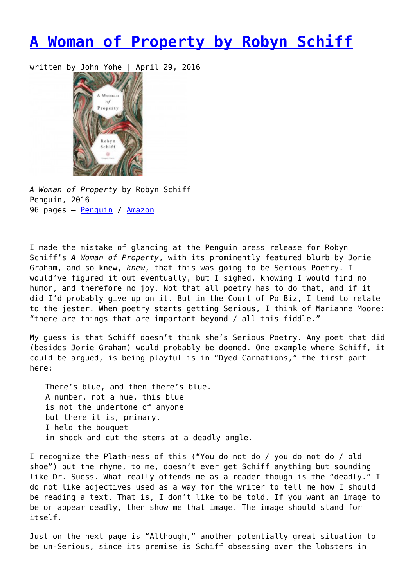## **[A Woman of Property by Robyn Schiff](https://entropymag.org/a-woman-of-property-by-robyn-schiff/)**

written by John Yohe | April 29, 2016



*A Woman of Property* by Robyn Schiff Penguin, 2016 96 pages – [Penguin](http://www.penguinrandomhouse.com/books/318793/a-woman-of-property-by-robyn-schiff/9780143128274/) / [Amazon](http://www.amazon.com/A-Woman-Property-Penguin-Poets/dp/0143128272)

I made the mistake of glancing at the Penguin press release for Robyn Schiff's *A Woman of Property*, with its prominently featured blurb by Jorie Graham, and so knew, *knew*, that this was going to be Serious Poetry. I would've figured it out eventually, but I sighed, knowing I would find no humor, and therefore no joy. Not that all poetry has to do that, and if it did I'd probably give up on it. But in the Court of Po Biz, I tend to relate to the jester. When poetry starts getting Serious, I think of Marianne Moore: "there are things that are important beyond / all this fiddle."

My guess is that Schiff doesn't think she's Serious Poetry. Any poet that did (besides Jorie Graham) would probably be doomed. One example where Schiff, it could be argued, is being playful is in "Dyed Carnations," the first part here:

There's blue, and then there's blue. A number, not a hue, this blue is not the undertone of anyone but there it is, primary. I held the bouquet in shock and cut the stems at a deadly angle.

I recognize the Plath-ness of this ("You do not do / you do not do / old shoe") but the rhyme, to me, doesn't ever get Schiff anything but sounding like Dr. Suess. What really offends me as a reader though is the "deadly." I do not like adjectives used as a way for the writer to tell me how I should be reading a text. That is, I don't like to be told. If you want an image to be or appear deadly, then show me that image. The image should stand for itself.

Just on the next page is "Although," another potentially great situation to be un-Serious, since its premise is Schiff obsessing over the lobsters in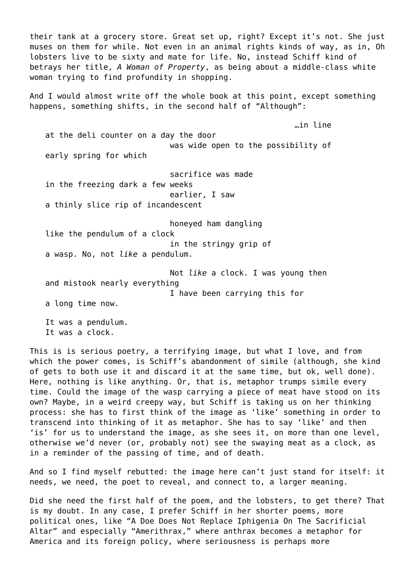their tank at a grocery store. Great set up, right? Except it's not. She just muses on them for while. Not even in an animal rights kinds of way, as in, Oh lobsters live to be sixty and mate for life. No, instead Schiff kind of betrays her title, *A Woman of Property*, as being about a middle-class white woman trying to find profundity in shopping.

And I would almost write off the whole book at this point, except something happens, something shifts, in the second half of "Although":

…in line

at the deli counter on a day the door was wide open to the possibility of early spring for which

sacrifice was made in the freezing dark a few weeks earlier, I saw a thinly slice rip of incandescent

honeyed ham dangling like the pendulum of a clock in the stringy grip of a wasp. No, not *like* a pendulum.

Not *like* a clock. I was young then and mistook nearly everything I have been carrying this for

a long time now.

It was a pendulum. It was a clock.

This is is serious poetry, a terrifying image, but what I love, and from which the power comes, is Schiff's abandonment of simile (although, she kind of gets to both use it and discard it at the same time, but ok, well done). Here, nothing is like anything. Or, that is, metaphor trumps simile every time. Could the image of the wasp carrying a piece of meat have stood on its own? Maybe, in a weird creepy way, but Schiff is taking us on her thinking process: she has to first think of the image as 'like' something in order to transcend into thinking of it as metaphor. She has to say 'like' and then 'is' for us to understand the image, as she sees it, on more than one level, otherwise we'd never (or, probably not) see the swaying meat as a clock, as in a reminder of the passing of time, and of death.

And so I find myself rebutted: the image here can't just stand for itself: it needs, we need, the poet to reveal, and connect to, a larger meaning.

Did she need the first half of the poem, and the lobsters, to get there? That is my doubt. In any case, I prefer Schiff in her shorter poems, more political ones, like "A Doe Does Not Replace Iphigenia On The Sacrificial Altar" and especially "Amerithrax," where anthrax becomes a metaphor for America and its foreign policy, where seriousness is perhaps more